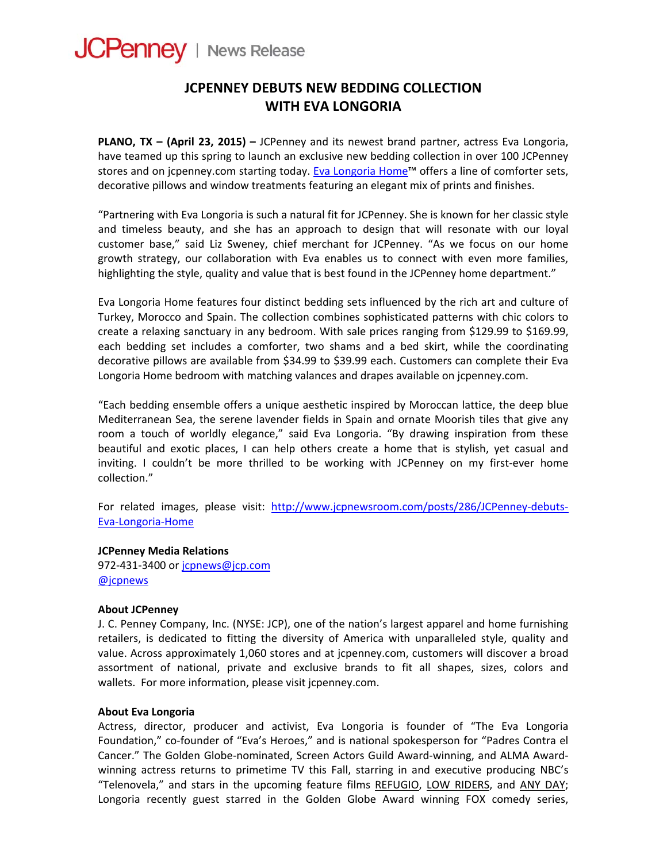## **JCPENNEY DEBUTS NEW BEDDING COLLECTION WITH EVA LONGORIA**

**PLANO, TX – (April 23, 2015) –** JCPenney and its newest brand partner, actress Eva Longoria, have teamed up this spring to launch an exclusive new bedding collection in over 100 JCPenney stores and on jcpenney.com starting today. Eva [Longoria](http://www.jcpenney.com/dotcom/jsp/search/results.jsp?fromSearch=true&Ntt=eva+longoria&ruleZoneName=XGNSZone&_dyncharset=UTF-8) Home™ offers a line of comforter sets, decorative pillows and window treatments featuring an elegant mix of prints and finishes.

"Partnering with Eva Longoria is such a natural fit for JCPenney. She is known for her classic style and timeless beauty, and she has an approach to design that will resonate with our loyal customer base," said Liz Sweney, chief merchant for JCPenney. "As we focus on our home growth strategy, our collaboration with Eva enables us to connect with even more families, highlighting the style, quality and value that is best found in the JCPenney home department."

Eva Longoria Home features four distinct bedding sets influenced by the rich art and culture of Turkey, Morocco and Spain. The collection combines sophisticated patterns with chic colors to create a relaxing sanctuary in any bedroom. With sale prices ranging from \$129.99 to \$169.99, each bedding set includes a comforter, two shams and a bed skirt, while the coordinating decorative pillows are available from \$34.99 to \$39.99 each. Customers can complete their Eva Longoria Home bedroom with matching valances and drapes available on jcpenney.com.

"Each bedding ensemble offers a unique aesthetic inspired by Moroccan lattice, the deep blue Mediterranean Sea, the serene lavender fields in Spain and ornate Moorish tiles that give any room a touch of worldly elegance," said Eva Longoria. "By drawing inspiration from these beautiful and exotic places, I can help others create a home that is stylish, yet casual and inviting. I couldn't be more thrilled to be working with JCPenney on my first-ever home collection."

For related images, please visit: [http://www.jcpnewsroom.com/posts/286/JCPenney](http://www.jcpnewsroom.com/posts/286/JCPenney-debuts-Eva-Longoria-Home)-debuts-Eva‐[Longoria](http://www.jcpnewsroom.com/posts/286/JCPenney-debuts-Eva-Longoria-Home)‐Home

## **JCPenney Media Relations**

972‐431‐3400 or [jcpnews@jcp.com](mailto:jcpnews@jcp.com) [@jcpnews](https://twitter.com/jcpnews)

## **About JCPenney**

J. C. Penney Company, Inc. (NYSE: JCP), one of the nation's largest apparel and home furnishing retailers, is dedicated to fitting the diversity of America with unparalleled style, quality and value. Across approximately 1,060 stores and at jcpenney.com, customers will discover a broad assortment of national, private and exclusive brands to fit all shapes, sizes, colors and wallets. For more information, please visit jcpenney.com.

## **About Eva Longoria**

Actress, director, producer and activist, Eva Longoria is founder of "The Eva Longoria Foundation," co-founder of "Eva's Heroes," and is national spokesperson for "Padres Contra el Cancer." The Golden Globe‐nominated, Screen Actors Guild Award‐winning, and ALMA Award‐ winning actress returns to primetime TV this Fall, starring in and executive producing NBC's "Telenovela," and stars in the upcoming feature films REFUGIO, LOW RIDERS, and ANY DAY; Longoria recently guest starred in the Golden Globe Award winning FOX comedy series,